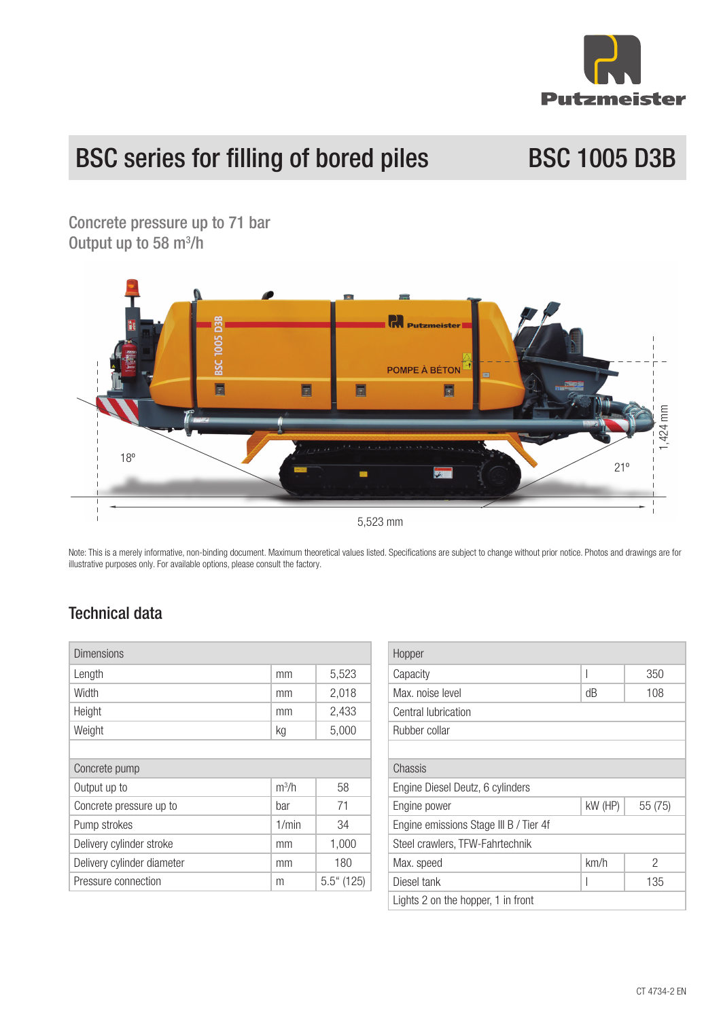

# BSC series for filling of bored piles BSC 1005 D3B

Concrete pressure up to 71 bar Output up to 58 m<sup>3</sup>/h



Note: This is a merely informative, non-binding document. Maximum theoretical values listed. Specifications are subject to change without prior notice. Photos and drawings are for illustrative purposes only. For available options, please consult the factory.

#### Technical data

| <b>Dimensions</b>          |                   |               |
|----------------------------|-------------------|---------------|
| Length                     | mm                | 5,523         |
| Width                      | mm                | 2,018         |
| Height                     | mm                | 2,433         |
| Weight                     | kg                | 5,000         |
|                            |                   |               |
| Concrete pump              |                   |               |
| Output up to               | m <sup>3</sup> /h | 58            |
| Concrete pressure up to    | bar               | 71            |
| Pump strokes               | 1/min             | 34            |
| Delivery cylinder stroke   | mm                | 1,000         |
| Delivery cylinder diameter | mm                | 180           |
| Pressure connection        | m                 | $5.5$ " (125) |

| Hopper                                 |         |        |  |
|----------------------------------------|---------|--------|--|
| Capacity                               | I       | 350    |  |
| Max, noise level                       | dB      | 108    |  |
| Central lubrication                    |         |        |  |
| Rubber collar                          |         |        |  |
|                                        |         |        |  |
| Chassis                                |         |        |  |
| Engine Diesel Deutz, 6 cylinders       |         |        |  |
| Engine power                           | kW (HP) | 55(75) |  |
| Engine emissions Stage III B / Tier 4f |         |        |  |
| Steel crawlers, TFW-Fahrtechnik        |         |        |  |
| Max. speed                             | km/h    | 2      |  |
| Diesel tank                            |         | 135    |  |
| Lights 2 on the hopper, 1 in front     |         |        |  |